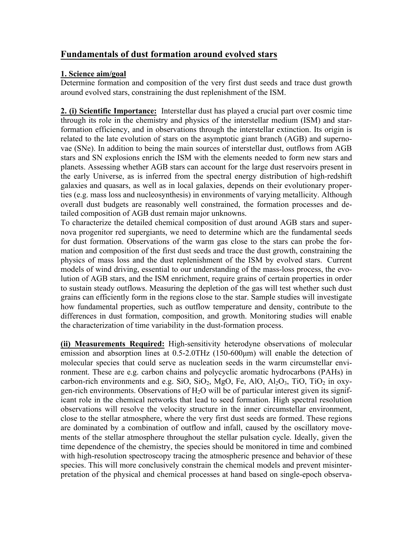## **Fundamentals of dust formation around evolved stars**

## **1. Science aim/goal**

Determine formation and composition of the very first dust seeds and trace dust growth around evolved stars, constraining the dust replenishment of the ISM.

**2. (i) Scientific Importance:** Interstellar dust has played a crucial part over cosmic time through its role in the chemistry and physics of the interstellar medium (ISM) and starformation efficiency, and in observations through the interstellar extinction. Its origin is related to the late evolution of stars on the asymptotic giant branch (AGB) and supernovae (SNe). In addition to being the main sources of interstellar dust, outflows from AGB stars and SN explosions enrich the ISM with the elements needed to form new stars and planets. Assessing whether AGB stars can account for the large dust reservoirs present in the early Universe, as is inferred from the spectral energy distribution of high-redshift galaxies and quasars, as well as in local galaxies, depends on their evolutionary properties (e.g. mass loss and nucleosynthesis) in environments of varying metallicity. Although overall dust budgets are reasonably well constrained, the formation processes and detailed composition of AGB dust remain major unknowns.

To characterize the detailed chemical composition of dust around AGB stars and supernova progenitor red supergiants, we need to determine which are the fundamental seeds for dust formation. Observations of the warm gas close to the stars can probe the formation and composition of the first dust seeds and trace the dust growth, constraining the physics of mass loss and the dust replenishment of the ISM by evolved stars. Current models of wind driving, essential to our understanding of the mass-loss process, the evolution of AGB stars, and the ISM enrichment, require grains of certain properties in order to sustain steady outflows. Measuring the depletion of the gas will test whether such dust grains can efficiently form in the regions close to the star. Sample studies will investigate how fundamental properties, such as outflow temperature and density, contribute to the differences in dust formation, composition, and growth. Monitoring studies will enable the characterization of time variability in the dust-formation process.

**(ii) Measurements Required:** High-sensitivity heterodyne observations of molecular emission and absorption lines at 0.5-2.0THz (150-600µm) will enable the detection of molecular species that could serve as nucleation seeds in the warm circumstellar environment. These are e.g. carbon chains and polycyclic aromatic hydrocarbons (PAHs) in carbon-rich environments and e.g. SiO, SiO<sub>2</sub>, MgO, Fe, AlO, Al<sub>2</sub>O<sub>3</sub>, TiO, TiO<sub>2</sub> in oxygen-rich environments. Observations of  $H_2O$  will be of particular interest given its significant role in the chemical networks that lead to seed formation. High spectral resolution observations will resolve the velocity structure in the inner circumstellar environment, close to the stellar atmosphere, where the very first dust seeds are formed. These regions are dominated by a combination of outflow and infall, caused by the oscillatory movements of the stellar atmosphere throughout the stellar pulsation cycle. Ideally, given the time dependence of the chemistry, the species should be monitored in time and combined with high-resolution spectroscopy tracing the atmospheric presence and behavior of these species. This will more conclusively constrain the chemical models and prevent misinterpretation of the physical and chemical processes at hand based on single-epoch observa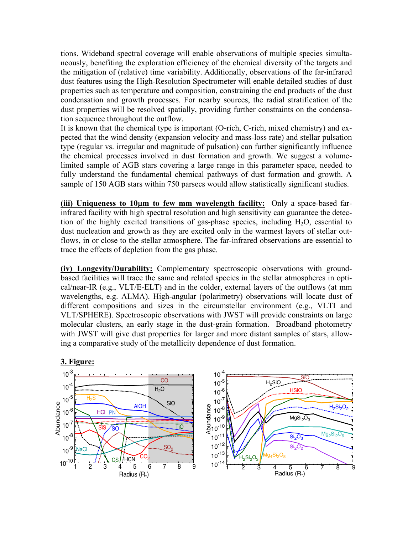tions. Wideband spectral coverage will enable observations of multiple species simultaneously, benefiting the exploration efficiency of the chemical diversity of the targets and the mitigation of (relative) time variability. Additionally, observations of the far-infrared dust features using the High-Resolution Spectrometer will enable detailed studies of dust properties such as temperature and composition, constraining the end products of the dust condensation and growth processes. For nearby sources, the radial stratification of the dust properties will be resolved spatially, providing further constraints on the condensation sequence throughout the outflow.

It is known that the chemical type is important (O-rich, C-rich, mixed chemistry) and expected that the wind density (expansion velocity and mass-loss rate) and stellar pulsation type (regular vs. irregular and magnitude of pulsation) can further significantly influence the chemical processes involved in dust formation and growth. We suggest a volumelimited sample of AGB stars covering a large range in this parameter space, needed to fully understand the fundamental chemical pathways of dust formation and growth. A sample of 150 AGB stars within 750 parsecs would allow statistically significant studies.

**(iii) Uniqueness to 10**µ**m to few mm wavelength facility:** Only a space-based farinfrared facility with high spectral resolution and high sensitivity can guarantee the detection of the highly excited transitions of gas-phase species, including  $H_2O$ , essential to dust nucleation and growth as they are excited only in the warmest layers of stellar outflows, in or close to the stellar atmosphere. The far-infrared observations are essential to trace the effects of depletion from the gas phase.

**(iv) Longevity/Durability:** Complementary spectroscopic observations with groundbased facilities will trace the same and related species in the stellar atmospheres in optical/near-IR (e.g., VLT/E-ELT) and in the colder, external layers of the outflows (at mm wavelengths, e.g. ALMA). High-angular (polarimetry) observations will locate dust of different compositions and sizes in the circumstellar environment (e.g., VLTI and VLT/SPHERE). Spectroscopic observations with JWST will provide constraints on large molecular clusters, an early stage in the dust-grain formation. Broadband photometry with JWST will give dust properties for larger and more distant samples of stars, allowing a comparative study of the metallicity dependence of dust formation.

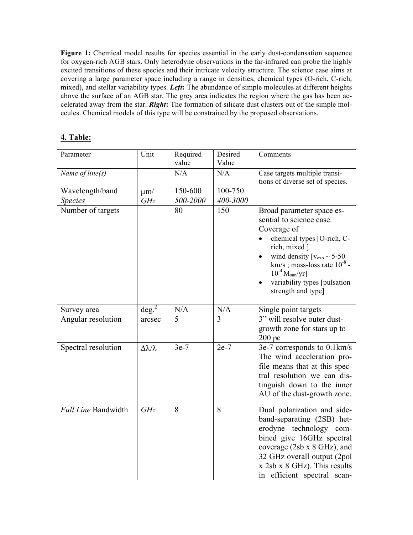Figure 1: Chemical model results for species essential in the early dust-condensation sequence for oxygen-rich AGB stars. Only heterodyne observations in the far-infrared can probe the highly excited transitions of these species and their intricate velocity structure. The science case aims at covering a large parameter space including a range in densities, chemical types (O-rich, C-rich, mixed), and stellar variability types. *Left***:** The abundance of simple molecules at different heights above the surface of an AGB star. The grey area indicates the region where the gas has been accelerated away from the star. *Right***:** The formation of silicate dust clusters out of the simple molecules. Chemical models of this type will be constrained by the proposed observations.

## **4. Table:**

| Parameter                         | Unit                       | Required<br>value   | Desired<br>Value    | Comments                                                                                                                                                                                                                                                                                            |
|-----------------------------------|----------------------------|---------------------|---------------------|-----------------------------------------------------------------------------------------------------------------------------------------------------------------------------------------------------------------------------------------------------------------------------------------------------|
| Name of line $(s)$                |                            | N/A                 | N/A                 | Case targets multiple transi-<br>tions of diverse set of species.                                                                                                                                                                                                                                   |
| Wavelength/band<br><b>Species</b> | $\mu$ m/<br>GHz            | 150-600<br>500-2000 | 100-750<br>400-3000 |                                                                                                                                                                                                                                                                                                     |
| Number of targets                 |                            | 80                  | 150                 | Broad parameter space es-<br>sential to science case.<br>Coverage of<br>chemical types [O-rich, C-<br>rich, mixed ]<br>wind density $[v_{exp} \sim 5-50]$<br>$\bullet$<br>km/s; mass-loss rate $10^{-8}$ -<br>$10^{-4}$ M <sub>sun</sub> /yr]<br>variability types [pulsation<br>strength and type] |
| Survey area                       | $\deg^2$                   | N/A                 | N/A                 | Single point targets                                                                                                                                                                                                                                                                                |
| Angular resolution                | arcsec                     | 5                   | 3                   | 3" will resolve outer dust-<br>growth zone for stars up to<br>$200\,\mathrm{pc}$                                                                                                                                                                                                                    |
| Spectral resolution               | $\Delta \lambda / \lambda$ | $3e-7$              | $2e-7$              | 3e-7 corresponds to 0.1km/s<br>The wind acceleration pro-<br>file means that at this spec-<br>tral resolution we can dis-<br>tinguish down to the inner<br>AU of the dust-growth zone.                                                                                                              |
| Full Line Bandwidth               | GHz                        | 8                   | 8                   | Dual polarization and side-<br>band-separating (2SB) het-<br>erodyne technology com-<br>bined give 16GHz spectral<br>coverage (2sb x 8 GHz), and<br>32 GHz overall output (2pol<br>x 2sb x 8 GHz). This results<br>in efficient spectral scan-                                                      |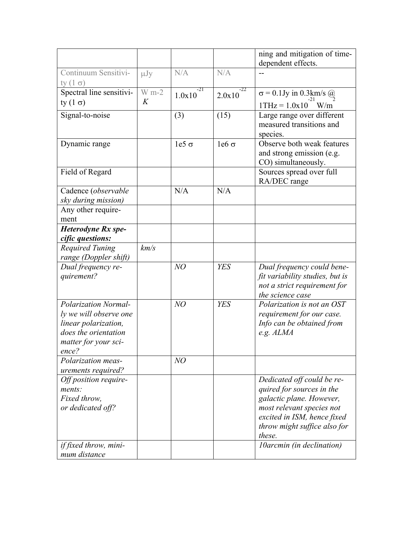|                                                 |          |                          |                 | ning and mitigation of time-<br>dependent effects.      |
|-------------------------------------------------|----------|--------------------------|-----------------|---------------------------------------------------------|
| Continuum Sensitivi-                            | $\mu Jy$ | N/A                      | N/A             |                                                         |
| ty $(1 \sigma)$                                 |          |                          |                 |                                                         |
| Spectral line sensitivi-                        | $W m-2$  | $-21$<br>1.0x10          | $-22$<br>2.0x10 | $\overline{\sigma} = 0.1$ Jy in 0.3 km/s $\omega_2$     |
| ty $(1 \sigma)$                                 | K        |                          |                 | $1THz = 1.0x10$ W/m                                     |
| Signal-to-noise                                 |          | (3)                      | (15)            | Large range over different                              |
|                                                 |          |                          |                 | measured transitions and<br>species.                    |
| Dynamic range                                   |          | le <sub>5</sub> $\sigma$ | $1e6\sigma$     | Observe both weak features<br>and strong emission (e.g. |
|                                                 |          |                          |                 | CO) simultaneously.                                     |
| Field of Regard                                 |          |                          |                 | Sources spread over full<br>RA/DEC range                |
| Cadence (observable                             |          | N/A                      | N/A             |                                                         |
| sky during mission)                             |          |                          |                 |                                                         |
| Any other require-                              |          |                          |                 |                                                         |
| ment                                            |          |                          |                 |                                                         |
| Heterodyne Rx spe-                              |          |                          |                 |                                                         |
| cific questions:                                |          |                          |                 |                                                         |
| <b>Required Tuning</b>                          | km/s     |                          |                 |                                                         |
| range (Doppler shift)                           |          |                          |                 |                                                         |
| Dual frequency re-                              |          | NO                       | <b>YES</b>      | Dual frequency could bene-                              |
| quirement?                                      |          |                          |                 | fit variability studies, but is                         |
|                                                 |          |                          |                 | not a strict requirement for                            |
|                                                 |          |                          |                 | the science case                                        |
| <b>Polarization Normal-</b>                     |          | NO                       | <b>YES</b>      | Polarization is not an OST                              |
| ly we will observe one                          |          |                          |                 | requirement for our case.                               |
| linear polarization,                            |          |                          |                 | Info can be obtained from                               |
| does the orientation                            |          |                          |                 | e.g. ALMA                                               |
| matter for your sci-                            |          |                          |                 |                                                         |
| ence?                                           |          |                          |                 |                                                         |
| <b>Polarization meas-</b><br>urements required? |          | NO                       |                 |                                                         |
| Off position require-                           |          |                          |                 | Dedicated off could be re-                              |
| ments:                                          |          |                          |                 | quired for sources in the                               |
| Fixed throw.                                    |          |                          |                 | galactic plane. However,                                |
| or dedicated off?                               |          |                          |                 | most relevant species not                               |
|                                                 |          |                          |                 | excited in ISM, hence fixed                             |
|                                                 |          |                          |                 | throw might suffice also for                            |
|                                                 |          |                          |                 | these.                                                  |
| if fixed throw, mini-                           |          |                          |                 | <i><b>10arcmin (in declination)</b></i>                 |
| mum distance                                    |          |                          |                 |                                                         |